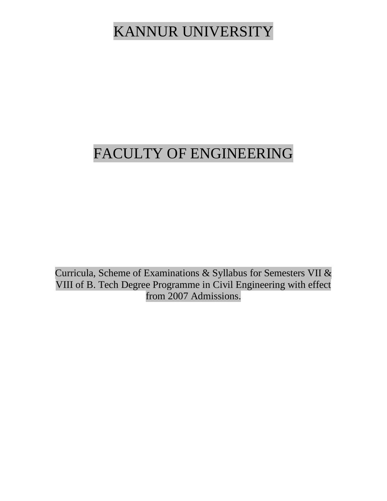# KANNUR UNIVERSITY

# FACULTY OF ENGINEERING

Curricula, Scheme of Examinations & Syllabus for Semesters VII & VIII of B. Tech Degree Programme in Civil Engineering with effect from 2007 Admissions.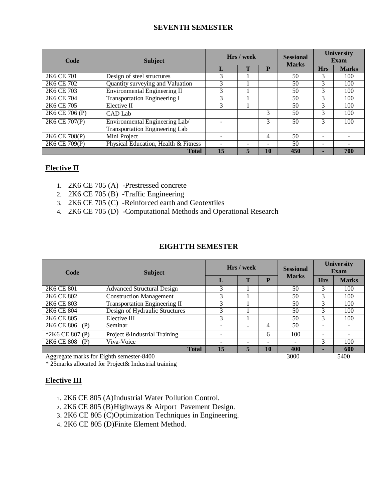# **SEVENTH SEMESTER**

| Code                               | <b>Subject</b>                        |    | Hrs / week |                          | <b>Sessional</b><br><b>Marks</b> | <b>University</b><br><b>Exam</b> |              |
|------------------------------------|---------------------------------------|----|------------|--------------------------|----------------------------------|----------------------------------|--------------|
|                                    |                                       | L  | Т          | P                        |                                  | <b>Hrs</b>                       | <b>Marks</b> |
| 2K6 CE 701                         | Design of steel structures            | 3  |            |                          | 50                               | 3                                | 100          |
| 2K6 CE 702                         | Quantity surveying and Valuation      | 3  |            |                          | 50                               | 3                                | 100          |
| 2K <sub>6</sub> C <sub>E</sub> 703 | Environmental Engineering II          | 3  |            |                          | 50                               | 3                                | 100          |
| 2K6 CE 704                         | <b>Transportation Engineering I</b>   | 3  |            |                          | 50                               | 3                                | 100          |
| 2K6 CE 705                         | Elective II                           | 3  |            |                          | 50                               | 3                                | 100          |
| 2K6 CE 706 (P)                     | CAD Lab                               |    |            | 3                        | 50                               | 3                                | 100          |
| 2K6 CE 707(P)                      | Environmental Engineering Lab/        |    |            | 3                        | 50                               | 3                                | 100          |
|                                    | <b>Transportation Engineering Lab</b> |    |            |                          |                                  |                                  |              |
| 2K6 CE 708(P)                      | Mini Project                          |    |            | 4                        | 50                               |                                  |              |
| 2K6 CE 709(P)                      | Physical Education, Health & Fitness  |    |            | $\overline{\phantom{0}}$ | 50                               |                                  |              |
|                                    | <b>Total</b>                          | 15 | 5          | 10                       | 450                              |                                  | 700          |

# **Elective II**

- 1. 2K6 CE 705 (A) -Prestressed concrete
- 2. 2K6 CE 705 (B) -Traffic Engineering
- 3. 2K6 CE 705 (C) -Reinforced earth and Geotextiles
- 4. 2K6 CE 705 (D) -Computational Methods and Operational Research

# **EIGHTTH SEMESTER**

| Code                   | <b>Subject</b>                    | Hrs / week |                          |                          | <b>Sessional</b>         |            | <b>University</b><br>Exam |
|------------------------|-----------------------------------|------------|--------------------------|--------------------------|--------------------------|------------|---------------------------|
|                        |                                   |            | Т                        | $\mathbf{P}$             | <b>Marks</b>             | <b>Hrs</b> | <b>Marks</b>              |
| 2K6 CE 801             | <b>Advanced Structural Design</b> | 3          |                          |                          | 50                       | 3          | 100                       |
| 2K <sub>6</sub> CE 802 | <b>Construction Management</b>    | 3          |                          |                          | 50                       | 3          | 100                       |
| 2K <sub>6</sub> CE 803 | Transportation Engineering II     |            |                          |                          | 50                       |            | 100                       |
| 2K6 CE 804             | Design of Hydraulic Structures    | 3          |                          |                          | 50                       | 3          | 100                       |
| 2K6 CE 805             | Elective III                      | 3          |                          |                          | 50                       | 3          | 100                       |
| 2K6 CE 806 (P)         | Seminar                           | ٠          | $\overline{\phantom{0}}$ | $\overline{4}$           | 50                       |            |                           |
| *2K6 CE 807 (P)        | Project &Industrial Training      | ۰          |                          | 6                        | 100                      | ۰          |                           |
| 2K6 CE 808<br>(P)      | Viva-Voice                        | ۰          | $\overline{\phantom{0}}$ | $\overline{\phantom{a}}$ | $\overline{\phantom{a}}$ | 3          | 100                       |
|                        | <b>Total</b>                      | 15         | 5                        | 10                       | 400                      |            | 600                       |

Aggregate marks for Eighth semester-8400 3000 5400

\* 25marks allocated for Project& Industrial training

# **Elective III**

- <sup>1</sup>. 2K6 CE 805 (A)Industrial Water Pollution Control.
- <sup>2</sup>. 2K6 CE 805 (B)Highways & Airport Pavement Design.
- 3. 2K6 CE 805 (C)Optimization Techniques in Engineering.
- 4. 2K6 CE 805 (D)Finite Element Method.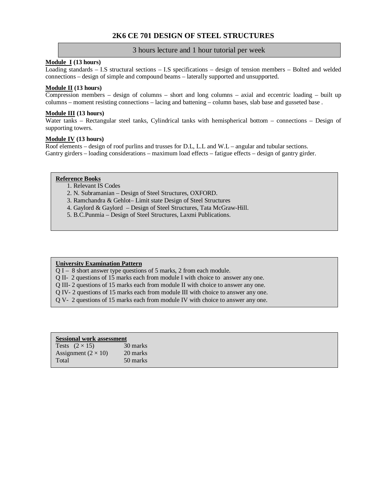# **2K6 CE 701 DESIGN OF STEEL STRUCTURES**

# 3 hours lecture and 1 hour tutorial per week

# **Module I (13 hours)**

Loading standards – I.S structural sections – I.S specifications – design of tension members – Bolted and welded connections – design of simple and compound beams – laterally supported and unsupported.

# **Module II (13 hours)**

Compression members – design of columns – short and long columns – axial and eccentric loading – built up columns – moment resisting connections – lacing and battening – column bases, slab base and gusseted base .

# **Module III (13 hours)**

Water tanks – Rectangular steel tanks, Cylindrical tanks with hemispherical bottom – connections – Design of supporting towers.

# **Module IV (13 hours)**

Roof elements – design of roof purlins and trusses for D.L, L.L and W.L – angular and tubular sections. Gantry girders – loading considerations – maximum load effects – fatigue effects – design of gantry girder.

# **Reference Books**

- 1. Relevant IS Codes
- 2. N. Subramanian Design of Steel Structures, OXFORD.
- 3. Ramchandra & Gehlot– Limit state Design of Steel Structures
- 4. Gaylord & Gaylord Design of Steel Structures, Tata McGraw-Hill.
- 5. B.C.Punmia Design of Steel Structures, Laxmi Publications.

# **University Examination Pattern**

- Q I 8 short answer type questions of 5 marks, 2 from each module.
- Q II- 2 questions of 15 marks each from module I with choice to answer any one.
- Q III- 2 questions of 15 marks each from module II with choice to answer any one.
- Q IV- 2 questions of 15 marks each from module III with choice to answer any one.
- Q V- 2 questions of 15 marks each from module IV with choice to answer any one.

| <b>Sessional work assessment</b> |          |  |  |
|----------------------------------|----------|--|--|
| Tests $(2 \times 15)$            | 30 marks |  |  |
| Assignment $(2 \times 10)$       | 20 marks |  |  |
| Total                            | 50 marks |  |  |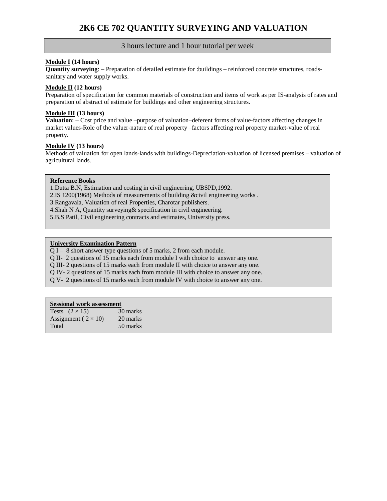# **Module I (14 hours)**

**Quantity surveying**: – Preparation of detailed estimate for :buildings – reinforced concrete structures, roadssanitary and water supply works.

# **Module II (12 hours)**

Preparation of specification for common materials of construction and items of work as per IS-analysis of rates and preparation of abstract of estimate for buildings and other engineering structures.

# **Module III (13 hours)**

**Valuation**: – Cost price and value –purpose of valuation–deferent forms of value-factors affecting changes in market values-Role of the valuer-nature of real property –factors affecting real property market-value of real property.

# **Module IV (13 hours)**

Methods of valuation for open lands-lands with buildings-Depreciation-valuation of licensed premises – valuation of agricultural lands.

# **Reference Books**

1.Dutta B.N, Estimation and costing in civil engineering, UBSPD,1992.

2.IS 1200(1968) Methods of measurements of building &civil engineering works .

3.Rangavala, Valuation of real Properties, Charotar publishers.

4.Shah N A, Quantity surveying& specification in civil engineering.

5.B.S Patil, Civil engineering contracts and estimates, University press.

# **University Examination Pattern**

 $\overline{O}$  I – 8 short answer type questions of 5 marks, 2 from each module.

Q II- 2 questions of 15 marks each from module I with choice to answer any one.

Q III- 2 questions of 15 marks each from module II with choice to answer any one.

Q IV- 2 questions of 15 marks each from module III with choice to answer any one.

Q V- 2 questions of 15 marks each from module IV with choice to answer any one.

| Tests $(2 \times 15)$        | 30 marks |
|------------------------------|----------|
| Assignment ( $2 \times 10$ ) | 20 marks |
| Total                        | 50 marks |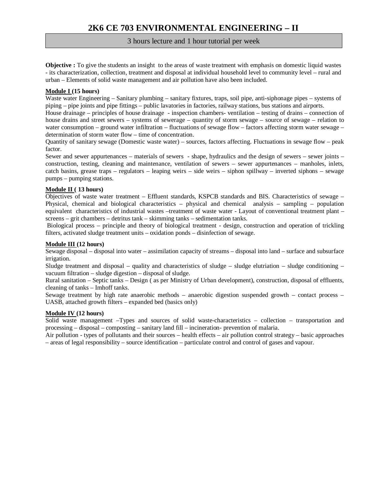**Objective :** To give the students an insight to the areas of waste treatment with emphasis on domestic liquid wastes - its characterization, collection, treatment and disposal at individual household level to community level – rural and urban – Elements of solid waste management and air pollution have also been included.

# **Module I (15 hours)**

Waste water Engineering – Sanitary plumbing – sanitary fixtures, traps, soil pipe, anti-siphonage pipes – systems of piping – pipe joints and pipe fittings – public lavatories in factories, railway stations, bus stations and airports.

House drainage – principles of house drainage - inspection chambers- ventilation – testing of drains – connection of house drains and street sewers – systems of sewerage – quantity of storm sewage – source of sewage – relation to water consumption – ground water infiltration – fluctuations of sewage flow – factors affecting storm water sewage – determination of storm water flow – time of concentration.

Quantity of sanitary sewage (Domestic waste water) – sources, factors affecting. Fluctuations in sewage flow – peak factor.

Sewer and sewer appurtenances – materials of sewers - shape, hydraulics and the design of sewers – sewer joints – construction, testing, cleaning and maintenance, ventilation of sewers – sewer appurtenances – manholes, inlets, catch basins, grease traps – regulators – leaping weirs – side weirs – siphon spillway – inverted siphons – sewage pumps – pumping stations.

# **Module II ( 13 hours)**

Objectives of waste water treatment – Effluent standards, KSPCB standards and BIS. Characteristics of sewage – Physical, chemical and biological characteristics – physical and chemical analysis – sampling – population equivalent characteristics of industrial wastes –treatment of waste water - Layout of conventional treatment plant – screens – grit chambers – detritus tank – skimming tanks – sedimentation tanks.

Biological process – principle and theory of biological treatment - design, construction and operation of trickling filters, activated sludge treatment units – oxidation ponds – disinfection of sewage.

# **Module III (12 hours)**

Sewage disposal – disposal into water – assimilation capacity of streams – disposal into land – surface and subsurface irrigation.

Sludge treatment and disposal – quality and characteristics of sludge – sludge elutriation – sludge conditioning – vacuum filtration – sludge digestion – disposal of sludge.

Rural sanitation – Septic tanks – Design ( as per Ministry of Urban development), construction, disposal of effluents, cleaning of tanks – Imhoff tanks.

Sewage treatment by high rate anaerobic methods – anaerobic digestion suspended growth – contact process – UASB, attached growth filters – expanded bed (basics only)

# **Module IV (12 hours)**

Solid waste management –Types and sources of solid waste-characteristics – collection – transportation and processing – disposal – composting – sanitary land fill – incineration- prevention of malaria.

Air pollution - types of pollutants and their sources – health effects – air pollution control strategy – basic approaches – areas of legal responsibility – source identification – particulate control and control of gases and vapour.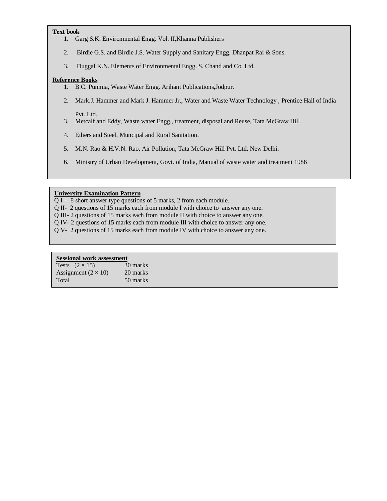# **Text book**

1. Garg S.K. Environmental Engg. Vol. II,Khanna Publishers

- 2. Birdie G.S. and Birdie J.S. Water Supply and Sanitary Engg. Dhanpat Rai & Sons.
- 3. Duggal K.N. Elements of Environmental Engg. S. Chand and Co. Ltd.

# **Reference Books**

- 1. B.C. Punmia, Waste Water Engg. Arihant Publications,Jodpur.
- 2. Mark.J. Hammer and Mark J. Hammer Jr., Water and Waste Water Technology , Prentice Hall of India Pvt. Ltd.
- 3. Metcalf and Eddy, Waste water Engg., treatment, disposal and Reuse, Tata McGraw Hill.
- 4. Ethers and Steel, Muncipal and Rural Sanitation.
- 5. M.N. Rao & H.V.N. Rao, Air Pollution, Tata McGraw Hill Pvt. Ltd. New Delhi.
- 6. Ministry of Urban Development, Govt. of India, Manual of waste water and treatment 1986

# **University Examination Pattern**

Q I – 8 short answer type questions of 5 marks, 2 from each module.

- Q II- 2 questions of 15 marks each from module I with choice to answer any one.
- Q III- 2 questions of 15 marks each from module II with choice to answer any one.
- Q IV- 2 questions of 15 marks each from module III with choice to answer any one.
- Q V- 2 questions of 15 marks each from module IV with choice to answer any one.

# **Sessional work assessment**

Tests  $(2 \times 15)$  30 marks<br>Assignment  $(2 \times 10)$  20 marks Assignment  $(2 \times 10)$ Total 50 marks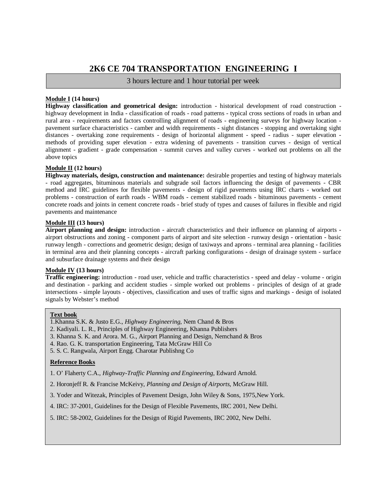# **2K6 CE 704 TRANSPORTATION ENGINEERING I**

3 hours lecture and 1 hour tutorial per week

# **Module I (14 hours)**

**Highway classification and geometrical design:** introduction - historical development of road construction highway development in India - classification of roads - road patterns - typical cross sections of roads in urban and rural area - requirements and factors controlling alignment of roads - engineering surveys for highway location pavement surface characteristics - camber and width requirements - sight distances - stopping and overtaking sight distances - overtaking zone requirements - design of horizontal alignment - speed - radius - super elevation methods of providing super elevation - extra widening of pavements - transition curves - design of vertical alignment - gradient - grade compensation - summit curves and valley curves - worked out problems on all the above topics

# **Module II (12 hours)**

**Highway materials, design, construction and maintenance:** desirable properties and testing of highway materials - road aggregates, bituminous materials and subgrade soil factors influencing the design of pavements - CBR method and IRC guidelines for flexible pavements - design of rigid pavements using IRC charts - worked out problems - construction of earth roads - WBM roads - cement stabilized roads - bituminous pavements - cement concrete roads and joints in cement concrete roads - brief study of types and causes of failures in flexible and rigid pavements and maintenance

# **Module III (13 hours)**

**Airport planning and design:** introduction - aircraft characteristics and their influence on planning of airports airport obstructions and zoning - component parts of airport and site selection - runway design - orientation - basic runway length - corrections and geometric design; design of taxiways and aprons - terminal area planning - facilities in terminal area and their planning concepts - aircraft parking configurations - design of drainage system - surface and subsurface drainage systems and their design

# **Module IV (13 hours)**

**Traffic engineering:** introduction - road user, vehicle and traffic characteristics - speed and delay - volume - origin and destination - parking and accident studies - simple worked out problems - principles of design of at grade intersections - simple layouts - objectives, classification and uses of traffic signs and markings - design of isolated signals by Webster's method

# **Text book**

- 1.Khanna S.K. & Justo E.G., *Highway Engineering*, Nem Chand & Bros
- 2. Kadiyali. L. R., Principles of Highway Engineering, Khanna Publishers
- 3. Khanna S. K. and Arora. M. G., Airport Planning and Design, Nemchand & Bros
- 4. Rao. G. K. transportation Engineering, Tata McGraw Hill Co
- 5. S. C. Rangwala, Airport Engg. Charotar Publishng Co

# **Reference Books**

- 1. O' Flaherty C.A., *Highway-Traffic Planning and Engineering,* Edward Arnold.
- 2. Horonjeff R. & Francise McKeivy, *Planning and Design of Airports*, McGraw Hill.
- 3. Yoder and Witezak, Principles of Pavement Design, John Wiley & Sons, 1975,New York.
- 4. IRC: 37-2001, Guidelines for the Design of Flexible Pavements, IRC 2001, New Delhi.
- 5. IRC: 58-2002, Guidelines for the Design of Rigid Pavements, IRC 2002, New Delhi.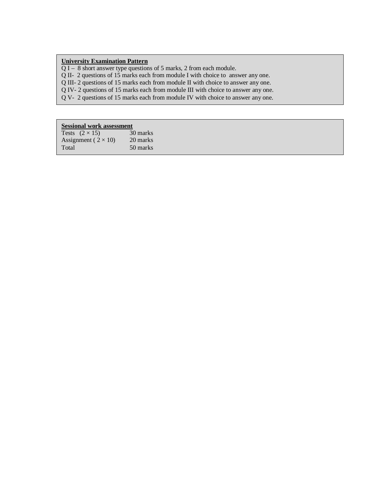# **University Examination Pattern**

Q I – 8 short answer type questions of 5 marks, 2 from each module.

Q II- 2 questions of 15 marks each from module I with choice to answer any one.

Q III- 2 questions of 15 marks each from module II with choice to answer any one.

Q IV- 2 questions of 15 marks each from module III with choice to answer any one.

Q V- 2 questions of 15 marks each from module IV with choice to answer any one.

| Tests $(2 \times 15)$        | 30 marks |
|------------------------------|----------|
| Assignment ( $2 \times 10$ ) | 20 marks |
| Total                        | 50 marks |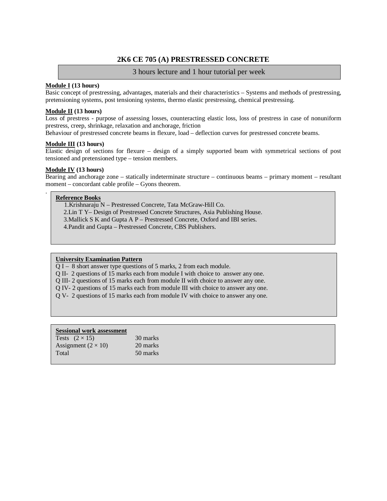# **2K6 CE 705 (A) PRESTRESSED CONCRETE**

# 3 hours lecture and 1 hour tutorial per week

# **Module I (13 hours)**

Basic concept of prestressing, advantages, materials and their characteristics – Systems and methods of prestressing, pretensioning systems, post tensioning systems, thermo elastic prestressing, chemical prestressing.

# **Module II (13 hours)**

Loss of prestress - purpose of assessing losses, counteracting elastic loss, loss of prestress in case of nonuniform prestress, creep, shrinkage, relaxation and anchorage, friction

Behaviour of prestressed concrete beams in flexure, load – deflection curves for prestressed concrete beams.

# **Module III (13 hours)**

Elastic design of sections for flexure – design of a simply supported beam with symmetrical sections of post tensioned and pretensioned type – tension members.

# **Module IV (13 hours)**

Bearing and anchorage zone – statically indeterminate structure – continuous beams – primary moment – resultant moment – concordant cable profile – Gyons theorem.

# **Reference Books**

.

1.Krishnaraju N – Prestressed Concrete, Tata McGraw-Hill Co.

2.Lin T Y– Design of Prestressed Concrete Structures, Asia Publishing House.

3.Mallick S K and Gupta A P – Prestressed Concrete, Oxford and IBI series.

4.Pandit and Gupta – Prestressed Concrete, CBS Publishers.

# **University Examination Pattern**

Q I – 8 short answer type questions of 5 marks, 2 from each module.

Q II- 2 questions of 15 marks each from module I with choice to answer any one.

- Q III- 2 questions of 15 marks each from module II with choice to answer any one.
- Q IV- 2 questions of 15 marks each from module III with choice to answer any one.
- Q V- 2 questions of 15 marks each from module IV with choice to answer any one.

| Tests $(2 \times 15)$      | 30 marks |
|----------------------------|----------|
| Assignment $(2 \times 10)$ | 20 marks |
| Total                      | 50 marks |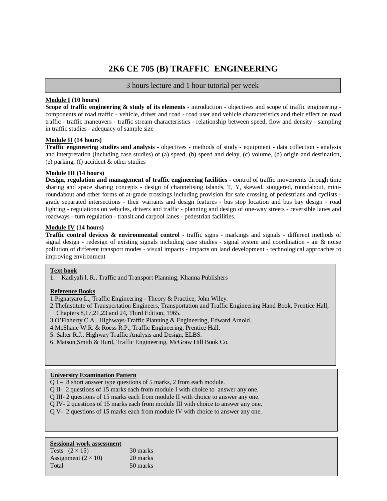# **2K6 CE 705 (B) TRAFFIC ENGINEERING**

# 3 hours lecture and 1 hour tutorial per week

# **Module I (10 hours)**

**Scope of traffic engineering & study of its elements -** introduction - objectives and scope of traffic engineering components of road traffic - vehicle, driver and road - road user and vehicle characteristics and their effect on road traffic - traffic maneuvers - traffic stream characteristics - relationship between speed, flow and density - sampling in traffic studies - adequacy of sample size

# **Module II (14 hours)**

**Traffic engineering studies and analysis -** objectives - methods of study - equipment - data collection - analysis and interpretation (including case studies) of (a) speed, (b) speed and delay, (c) volume, (d) origin and destination, (e) parking, (f) accident & other studies

# **Module III (14 hours)**

**Design, regulation and management of traffic engineering facilities -** control of traffic movements through time sharing and space sharing concepts - design of channelising islands, T, Y, skewed, staggered, roundabout, miniroundabout and other forms of at-grade crossings including provision for safe crossing of pedestrians and cyclists grade separated intersections - their warrants and design features - bus stop location and bus bay design - road lighting - regulations on vehicles, drivers and traffic - planning and design of one-way streets - reversible lanes and roadways - turn regulation - transit and carpool lanes - pedestrian facilities.

# **Module IV (14 hours)**

**Traffic control devices & environmental control -** traffic signs - markings and signals - different methods of signal design - redesign of existing signals including case studies - signal system and coordination - air & noise pollution of different transport modes - visual impacts - impacts on land development - technological approaches to improving environment

# **Text book**

1. Kadiyali l. R., Traffic and Transport Planning, Khanna Publishers

# **Reference Books**

1.Pignatyaro L., Traffic Engineering - Theory & Practice, John Wiley.

- 2.TheInstitute of Transportation Engineers, Transportation and Traffic Engineering Hand Book, Prentice Hall, Chapters 8,17,21,23 and 24, Third Edition, 1965.
- 3.O'Flaherty C.A., Highways-Traffic Planning & Engineering, Edward Arnold.
- 4.McShane W.R. & Roess R.P., Traffic Engineering, Prentice Hall.
- 5. Salter R.J., Highway Traffic Analysis and Design, ELBS.
- 6. Matson,Smith & Hurd, Traffic Engineering, McGraw Hill Book Co.

# **University Examination Pattern**

- Q I 8 short answer type questions of 5 marks, 2 from each module.
- Q II- 2 questions of 15 marks each from module I with choice to answer any one.
- Q III- 2 questions of 15 marks each from module II with choice to answer any one.
- Q IV- 2 questions of 15 marks each from module III with choice to answer any one.
- Q V- 2 questions of 15 marks each from module IV with choice to answer any one.

| Tests $(2 \times 15)$      | 30 marks |
|----------------------------|----------|
| Assignment $(2 \times 10)$ | 20 marks |
| Total                      | 50 marks |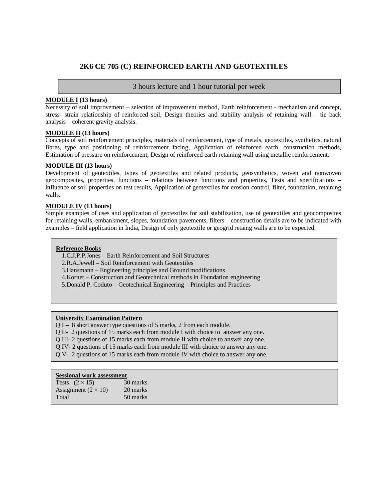# **2K6 CE 705 (C) REINFORCED EARTH AND GEOTEXTILES**

# 3 hours lecture and 1 hour tutorial per week

# **MODULE I (13 hours)**

Necessity of soil improvement – selection of improvement method, Earth reinforcement - mechanism and concept, stress- strain relationship of reinforced soil, Design theories and stability analysis of retaining wall – tie back analysis – coherent gravity analysis.

# **MODULE II (13 hours)**

Concepts of soil reinforcement principles, materials of reinforcement, type of metals, geotextiles, synthetics, natural fibres, type and positioning of reinforcement facing, Application of reinforced earth, construction methods, Estimation of pressure on reinforcement, Design of reinforced earth retaining wall using metallic reinforcement.

# **MODULE III (13 hours)**

Development of geotextiles, types of geotextiles and related products, geosynthetics, woven and nonwoven geocomposites, properties, functions – relations between functions and properties, Tests and specifications – influence of soil properties on test results, Application of geotextiles for erosion control, filter, foundation, retaining walls.

# **MODULE IV (13 hours)**

Simple examples of uses and application of geotextiles for soil stabilization, use of geotextiles and geocomposites for retaining walls, embankment, slopes, foundation pavements, filters – construction details are to be indicated with examples – field application in India, Design of only geotextile or geogrid retaing walls are to be expected.

# **Reference Books**

- 1.C.J.P.P.Jones Earth Reinforcement and Soil Structures
- 2.R.A.Jewell Soil Reinforcement with Geotextiles
- 3.Hansmann Engineering principles and Ground modifications
- 4.Korner Construction and Geotechnical methods in Foundation engineering
- 5.Donald P. Coduto Geotechnical Engineering Principles and Practices

# **University Examination Pattern**

- $\overline{O}$  I 8 short answer type questions of 5 marks, 2 from each module.
- Q II- 2 questions of 15 marks each from module I with choice to answer any one.
- Q III- 2 questions of 15 marks each from module II with choice to answer any one.
- Q IV- 2 questions of 15 marks each from module III with choice to answer any one.
- Q V- 2 questions of 15 marks each from module IV with choice to answer any one.

| Tests $(2 \times 15)$      | 30 marks |
|----------------------------|----------|
| Assignment $(2 \times 10)$ | 20 marks |
| Total                      | 50 marks |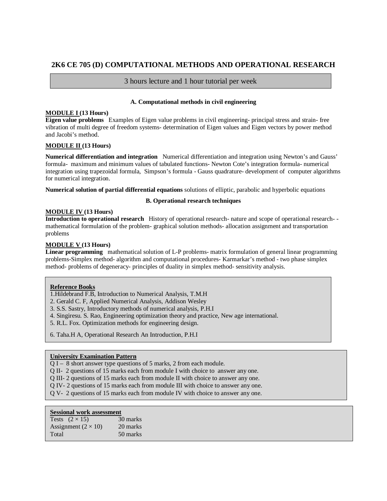# **2K6 CE 705 (D) COMPUTATIONAL METHODS AND OPERATIONAL RESEARCH**

# 3 hours lecture and 1 hour tutorial per week

# **A. Computational methods in civil engineering**

# **MODULE I (13 Hours)**

**Eigen value problems** Examples of Eigen value problems in civil engineering- principal stress and strain- free vibration of multi degree of freedom systems- determination of Eigen values and Eigen vectors by power method and Jacobi's method.

# **MODULE II (13 Hours)**

**Numerical differentiation and integration** Numerical differentiation and integration using Newton's and Gauss' formula- maximum and minimum values of tabulated functions- Newton Cote's integration formula- numerical integration using trapezoidal formula, Simpson's formula - Gauss quadrature- development of computer algorithms for numerical integration.

**Numerical solution of partial differential equations** solutions of elliptic, parabolic and hyperbolic equations

# **B. Operational research techniques**

# **MODULE IV (13 Hours)**

**Introduction to operational research** History of operational research- nature and scope of operational research- mathematical formulation of the problem- graphical solution methods- allocation assignment and transportation problems

# **MODULE V (13 Hours)**

**Linear programming** mathematical solution of L-P problems- matrix formulation of general linear programming problems-Simplex method- algorithm and computational procedures- Karmarkar's method - two phase simplex method- problems of degeneracy- principles of duality in simplex method- sensitivity analysis.

# **Reference Books**

1.Hildebrand F.B, Introduction to Numerical Analysis, T.M.H

- 2. Gerald C. F, Applied Numerical Analysis, Addison Wesley
- 3. S.S. Sastry, Introductory methods of numerical analysis, P.H.I
- 4. Singiresu. S. Rao, Engineering optimization theory and practice, New age international.
- 5. R.L. Fox. Optimization methods for engineering design.
- 6. Taha.H A, Operational Research An Introduction, P.H.I

# **University Examination Pattern**

- Q I 8 short answer type questions of 5 marks, 2 from each module.
- Q II- 2 questions of 15 marks each from module I with choice to answer any one.
- Q III- 2 questions of 15 marks each from module II with choice to answer any one.
- Q IV- 2 questions of 15 marks each from module III with choice to answer any one.
- Q V- 2 questions of 15 marks each from module IV with choice to answer any one.

| Tests $(2 \times 15)$      | 30 marks |
|----------------------------|----------|
| Assignment $(2 \times 10)$ | 20 marks |
| Total                      | 50 marks |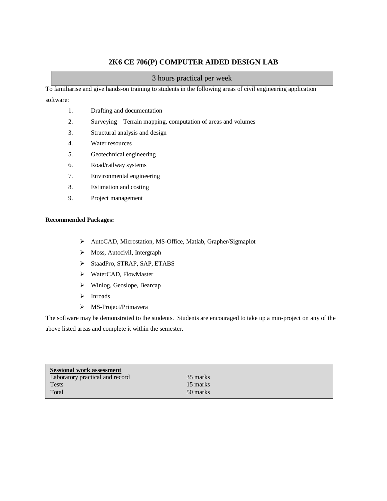# **2K6 CE 706(P) COMPUTER AIDED DESIGN LAB**

# 3 hours practical per week

To familiarise and give hands-on training to students in the following areas of civil engineering application

software:

- 1. Drafting and documentation
- 2. Surveying Terrain mapping, computation of areas and volumes
- 3. Structural analysis and design
- 4. Water resources
- 5. Geotechnical engineering
- 6. Road/railway systems
- 7. Environmental engineering
- 8. Estimation and costing
- 9. Project management

# **Recommended Packages:**

- AutoCAD, Microstation, MS-Office, Matlab, Grapher/Sigmaplot
- > Moss, Autocivil, Intergraph
- > StaadPro, STRAP, SAP, ETABS
- WaterCAD, FlowMaster
- Winlog, Geoslope, Bearcap
- > Inroads
- > MS-Project/Primavera

The software may be demonstrated to the students. Students are encouraged to take up a min-project on any of the above listed areas and complete it within the semester.

| <b>Sessional work assessment</b> |          |  |
|----------------------------------|----------|--|
| Laboratory practical and record  | 35 marks |  |
| Tests                            | 15 marks |  |
| Total                            | 50 marks |  |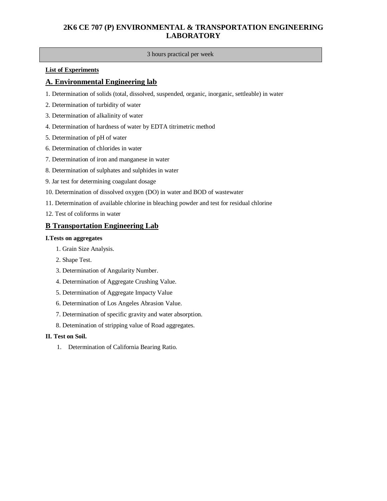# **2K6 CE 707 (P) ENVIRONMENTAL & TRANSPORTATION ENGINEERING LABORATORY**

# 3 hours practical per week

# **List of Experiments**

# **A. Environmental Engineering lab**

- 1. Determination of solids (total, dissolved, suspended, organic, inorganic, settleable) in water
- 2. Determination of turbidity of water
- 3. Determination of alkalinity of water
- 4. Determination of hardness of water by EDTA titrimetric method
- 5. Determination of pH of water
- 6. Determination of chlorides in water
- 7. Determination of iron and manganese in water
- 8. Determination of sulphates and sulphides in water
- 9. Jar test for determining coagulant dosage
- 10. Determination of dissolved oxygen (DO) in water and BOD of wastewater
- 11. Determination of available chlorine in bleaching powder and test for residual chlorine
- 12. Test of coliforms in water

# **B Transportation Engineering Lab**

# **I.Tests on aggregates**

- 1. Grain Size Analysis.
- 2. Shape Test.
- 3. Determination of Angularity Number.
- 4. Determination of Aggregate Crushing Value.
- 5. Determination of Aggregate Impacty Value
- 6. Determination of Los Angeles Abrasion Value.
- 7. Determination of specific gravity and water absorption.
- 8. Detemination of stripping value of Road aggregates.

# **II. Test on Soil.**

1. Determination of California Bearing Ratio.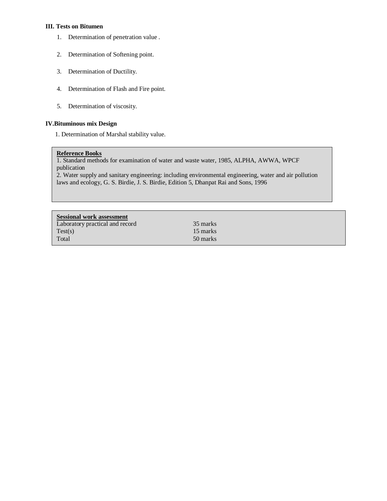# **III. Tests on Bitumen**

- 1. Determination of penetration value .
- 2. Determination of Softening point.
- 3. Determination of Ductility.
- 4. Determination of Flash and Fire point.
- 5. Determination of viscosity.

# **IV.Bituminous mix Design**

1. Determination of Marshal stability value.

# **Reference Books**

1. Standard methods for examination of water and waste water, 1985, ALPHA, AWWA, WPCF publication

2. Water supply and sanitary engineering: including environmental engineering, water and air pollution laws and ecology, G. S. Birdie, J. S. Birdie, Edition 5, Dhanpat Rai and Sons, 1996

| <b>Sessional work assessment</b> |          |
|----------------------------------|----------|
| Laboratory practical and record  | 35 marks |
| Test(s)                          | 15 marks |
| Total                            | 50 marks |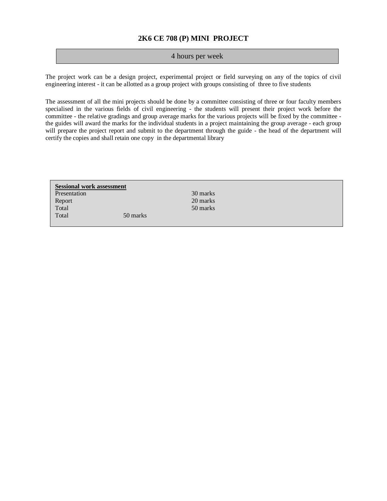# **2K6 CE 708 (P) MINI PROJECT**

# 4 hours per week

The project work can be a design project, experimental project or field surveying on any of the topics of civil engineering interest - it can be allotted as a group project with groups consisting of three to five students

The assessment of all the mini projects should be done by a committee consisting of three or four faculty members specialised in the various fields of civil engineering - the students will present their project work before the committee - the relative gradings and group average marks for the various projects will be fixed by the committee the guides will award the marks for the individual students in a project maintaining the group average - each group will prepare the project report and submit to the department through the guide - the head of the department will certify the copies and shall retain one copy in the departmental library

| <b>Sessional work assessment</b> |          |          |
|----------------------------------|----------|----------|
| Presentation                     |          | 30 marks |
| Report                           |          | 20 marks |
| Total                            |          | 50 marks |
| Total                            | 50 marks |          |
|                                  |          |          |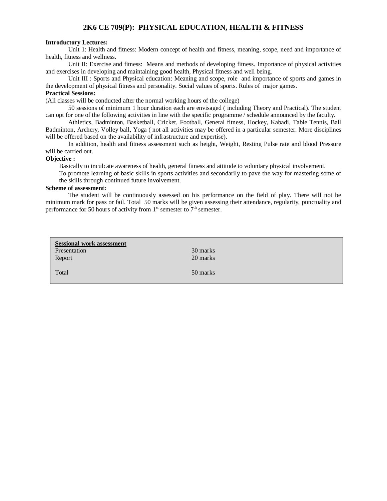# **2K6 CE 709(P): PHYSICAL EDUCATION, HEALTH & FITNESS**

# **Introductory Lectures:**

Unit 1: Health and fitness: Modern concept of health and fitness, meaning, scope, need and importance of health, fitness and wellness.

Unit II: Exercise and fitness: Means and methods of developing fitness. Importance of physical activities and exercises in developing and maintaining good health, Physical fitness and well being.

Unit III : Sports and Physical education: Meaning and scope, role and importance of sports and games in the development of physical fitness and personality. Social values of sports. Rules of major games.

# **Practical Sessions:**

(All classes will be conducted after the normal working hours of the college)

50 sessions of minimum 1 hour duration each are envisaged ( including Theory and Practical). The student can opt for one of the following activities in line with the specific programme / schedule announced by the faculty.

Athletics, Badminton, Basketball, Cricket, Football, General fitness, Hockey, Kabadi, Table Tennis, Ball Badminton, Archery, Volley ball, Yoga ( not all activities may be offered in a particular semester. More disciplines will be offered based on the availability of infrastructure and expertise).

In addition, health and fitness assessment such as height, Weight, Resting Pulse rate and blood Pressure will be carried out.

### **Objective :**

Basically to inculcate awareness of health, general fitness and attitude to voluntary physical involvement.

To promote learning of basic skills in sports activities and secondarily to pave the way for mastering some of the skills through continued future involvement.

### **Scheme of assessment:**

The student will be continuously assessed on his performance on the field of play. There will not be minimum mark for pass or fail. Total 50 marks will be given assessing their attendance, regularity, punctuality and performance for 50 hours of activity from  $1<sup>st</sup>$  semester to  $7<sup>th</sup>$  semester.

| <b>Sessional work assessment</b><br>Presentation<br>Report | 30 marks<br>20 marks |
|------------------------------------------------------------|----------------------|
| Total                                                      | 50 marks             |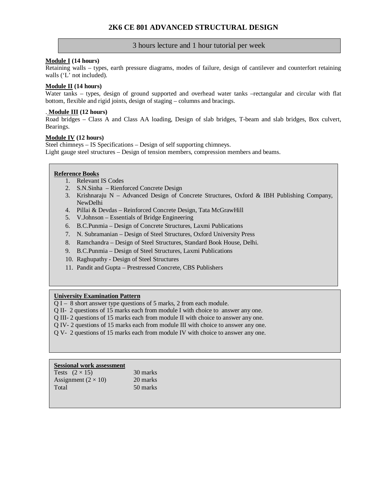# **Module I (14 hours)**

Retaining walls – types, earth pressure diagrams, modes of failure, design of cantilever and counterfort retaining walls ('L' not included).

# **Module II (14 hours)**

Water tanks – types, design of ground supported and overhead water tanks –rectangular and circular with flat bottom, flexible and rigid joints, design of staging – columns and bracings.

# . **Module III (12 hours)**

Road bridges – Class A and Class AA loading, Design of slab bridges, T-beam and slab bridges, Box culvert, Bearings.

# **Module IV (12 hours)**

Steel chimneys – IS Specifications – Design of self supporting chimneys. Light gauge steel structures – Design of tension members, compression members and beams.

# **Reference Books**

- 1. Relevant IS Codes
- 2. S.N.Sinha Rienforced Concrete Design
- 3. Krishnaraju N Advanced Design of Concrete Structures, Oxford & IBH Publishing Company, NewDelhi
- 4. Pillai & Devdas Reinforced Concrete Design, Tata McGrawHill
- 5. V.Johnson Essentials of Bridge Engineering
- 6. B.C.Punmia Design of Concrete Structures, Laxmi Publications
- 7. N. Subramanian Design of Steel Structures, Oxford University Press
- 8. Ramchandra Design of Steel Structures, Standard Book House, Delhi.
- 9. B.C.Punmia Design of Steel Structures, Laxmi Publications
- 10. Raghupathy Design of Steel Structures
- 11. Pandit and Gupta Prestressed Concrete, CBS Publishers

# **University Examination Pattern**

- Q I 8 short answer type questions of 5 marks, 2 from each module.
- Q II- 2 questions of 15 marks each from module I with choice to answer any one.
- Q III- 2 questions of 15 marks each from module II with choice to answer any one.
- Q IV- 2 questions of 15 marks each from module III with choice to answer any one.
- Q V- 2 questions of 15 marks each from module IV with choice to answer any one.

### **Sessional work assessment** Tests  $(2 \times 15)$  30 marks

| $\sim$                     | $\sim$ $\sim$ 11141.110 |
|----------------------------|-------------------------|
| Assignment $(2 \times 10)$ | 20 marks                |
| Total                      | 50 marks                |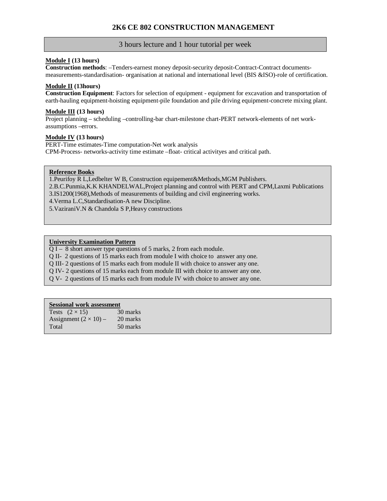# **Module I (13 hours)**

**Construction methods**: –Tenders-earnest money deposit-security deposit-Contract-Contract documentsmeasurements-standardisation- organisation at national and international level (BIS &ISO)-role of certification.

# **Module II (13hours)**

**Construction Equipment**: Factors for selection of equipment - equipment for excavation and transportation of earth-hauling equipment-hoisting equipment-pile foundation and pile driving equipment-concrete mixing plant.

# **Module III (13 hours)**

Project planning – scheduling –controlling-bar chart-milestone chart-PERT network-elements of net workassumptions –errors.

# **Module IV (13 hours)**

PERT-Time estimates-Time computation-Net work analysis CPM-Process- networks-activity time estimate –float- critical activityes and critical path.

# **Reference Books**

1.Peurifoy R L,Ledbelter W B, Construction equipement&Methods,MGM Publishers. 2.B.C.Punmia,K.K KHANDELWAL,Project planning and control with PERT and CPM,Laxmi Publications 3.IS1200(1968),Methods of measurements of building and civil engineering works. 4.Verma L.C,Standardisation-A new Discipline.

5.VaziraniV.N & Chandola S P,Heavy constructions

# **University Examination Pattern**

Q I – 8 short answer type questions of 5 marks, 2 from each module.

Q II- 2 questions of 15 marks each from module I with choice to answer any one.

Q III- 2 questions of 15 marks each from module II with choice to answer any one.

Q IV- 2 questions of 15 marks each from module III with choice to answer any one.

Q V- 2 questions of 15 marks each from module IV with choice to answer any one.

| Tests $(2 \times 15)$        | 30 marks |
|------------------------------|----------|
| Assignment $(2 \times 10)$ – | 20 marks |
| Total                        | 50 marks |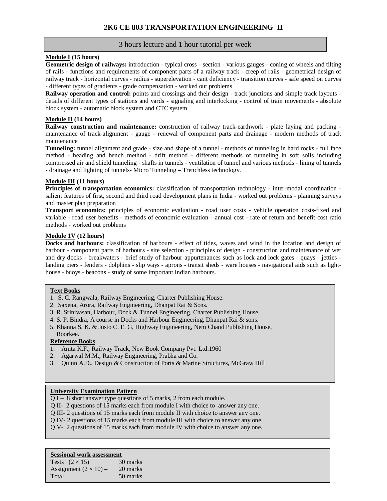# **Module I (15 hours)**

**Geometric design of railways:** introduction - typical cross - section - various gauges - coning of wheels and tilting of rails - functions and requirements of component parts of a railway track - creep of rails - geometrical design of railway track - horizontal curves - radius - superelevation - cant deficiency - transition curves - safe speed on curves - different types of gradients - grade compensation - worked out problems

**Railway operation and control:** points and crossings and their design - track junctions and simple track layouts details of different types of stations and yards - signaling and interlocking - control of train movements - absolute block system - automatic block system and CTC system

# **Module II (14 hours)**

**Railway construction and maintenance:** construction of railway track-earthwork - plate laying and packing maintenance of track-alignment - gauge - renewal of component parts and drainage - modern methods of track maintenance

**Tunneling:** tunnel alignment and grade - size and shape of a tunnel - methods of tunneling in hard rocks - full face method - heading and bench method - drift method - different methods of tunneling in soft soils including compressed air and shield tunneling - shafts in tunnels - ventilation of tunnel and various methods - lining of tunnels - drainage and lighting of tunnels- Micro Tunneling – Trenchless technology.

# **Module III (11 hours)**

**Principles of transportation economics:** classification of transportation technology - inter-modal coordination salient features of first, second and third road development plans in India - worked out problems - planning surveys and master plan preparation

**Transport economics:** principles of economic evaluation - road user costs - vehicle operation costs-fixed and variable - road user benefits - methods of economic evaluation - annual cost - rate of return and benefit-cost ratio methods - worked out problems

# **Module 1V (12 hours)**

**Docks and harbours:** classification of harbours - effect of tides, waves and wind in the location and design of harbour - component parts of harbours - site selection - principles of design - construction and maintenance of wet and dry docks - breakwaters - brief study of harbour appurtenances such as lock and lock gates - quays - jetties landing piers - fenders - dolphins - slip ways - aprons - transit sheds - ware houses - navigational aids such as lighthouse - buoys - beacons - study of some important Indian harbours.

# **Text Books**

- 1. S. C. Rangwala, Railway Engineering, Charter Publishing House.
- 2. Saxena, Arora, Railway Engineering, Dhanpat Rai & Sons.
- 3. R. Srinivasan, Harbour, Dock & Tunnel Engineering, Charter Publishing House.
- 4. S. P. Bindra, A course in Docks and Harbour Engineering, Dhanpat Rai & sons.
- 5. Khanna S. K. & Justo C. E. G, Highway Engineering, Nem Chand Publishing House, Roorkee.

# **Reference Books**

- 1. Anita K.F., Railway Track, New Book Company Pvt. Ltd.1960
- 2. Agarwal M.M., Railway Engineering, Prabha and Co.
- 3. Quinn A.D., Design & Construction of Ports & Marine Structures, McGraw Hill

# **University Examination Pattern**

- Q I 8 short answer type questions of 5 marks, 2 from each module.
- Q II- 2 questions of 15 marks each from module I with choice to answer any one.
- Q III- 2 questions of 15 marks each from module II with choice to answer any one.
- Q IV- 2 questions of 15 marks each from module III with choice to answer any one.
- Q V- 2 questions of 15 marks each from module IV with choice to answer any one.

| 30 marks |
|----------|
| 20 marks |
| 50 marks |
|          |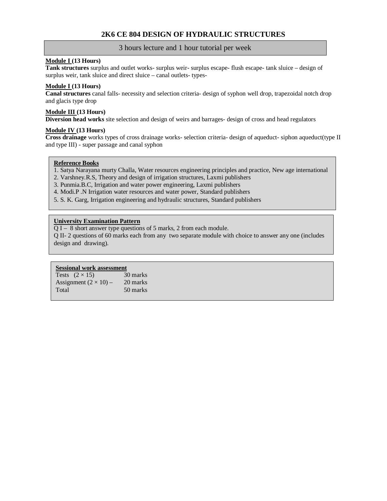# **2K6 CE 804 DESIGN OF HYDRAULIC STRUCTURES**

# 3 hours lecture and 1 hour tutorial per week

# **Module I (13 Hours)**

**Tank structures** surplus and outlet works- surplus weir- surplus escape- flush escape- tank sluice – design of surplus weir, tank sluice and direct sluice – canal outlets- types-

# **Module I (13 Hours)**

**Canal structures** canal falls- necessity and selection criteria- design of syphon well drop, trapezoidal notch drop and glacis type drop

# **Module III (13 Hours)**

**Diversion head works** site selection and design of weirs and barrages- design of cross and head regulators

# **Module IV (13 Hours)**

**Cross drainage** works types of cross drainage works- selection criteria- design of aqueduct- siphon aqueduct(type II and type III) - super passage and canal syphon

# **Reference Books**

- 1. Satya Narayana murty Challa, Water resources engineering principles and practice, New age international
- 2. Varshney.R.S, Theory and design of irrigation structures, Laxmi publishers
- 3. Punmia.B.C, Irrigation and water power engineering, Laxmi publishers
- 4. Modi.P .N Irrigation water resources and water power, Standard publishers
- 5. S. K. Garg, Irrigation engineering and hydraulic structures, Standard publishers

# **University Examination Pattern**

Q I – 8 short answer type questions of 5 marks, 2 from each module.

Q II- 2 questions of 60 marks each from any two separate module with choice to answer any one (includes design and drawing).

**Sessional work assessment**<br>Tests  $(2 \times 15)$  30 marks Tests  $(2 \times 15)$  30 marks<br>Assignment  $(2 \times 10)$  – 20 marks Assignment  $(2 \times 10)$  – Total 50 marks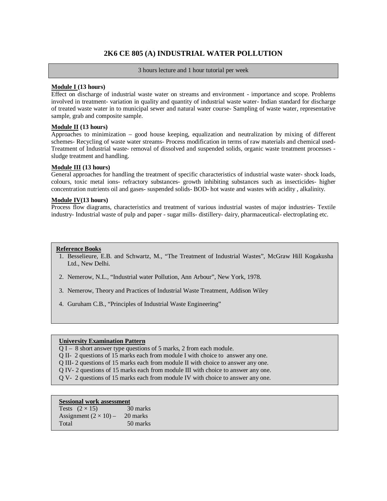# **2K6 CE 805 (A) INDUSTRIAL WATER POLLUTION**

3 hours lecture and 1 hour tutorial per week

# **Module I (13 hours)**

Effect on discharge of industrial waste water on streams and environment - importance and scope. Problems involved in treatment- variation in quality and quantity of industrial waste water- Indian standard for discharge of treated waste water in to municipal sewer and natural water course- Sampling of waste water, representative sample, grab and composite sample.

# **Module II (13 hours)**

Approaches to minimization – good house keeping, equalization and neutralization by mixing of different schemes- Recycling of waste water streams- Process modification in terms of raw materials and chemical used-Treatment of Industrial waste- removal of dissolved and suspended solids, organic waste treatment processes sludge treatment and handling.

# **Module III (13 hours)**

General approaches for handling the treatment of specific characteristics of industrial waste water- shock loads, colours, toxic metal ions- refractory substances- growth inhibiting substances such as insecticides- higher concentration nutrients oil and gases- suspended solids- BOD- hot waste and wastes with acidity , alkalinity.

# **Module IV(13 hours)**

Process flow diagrams, characteristics and treatment of various industrial wastes of major industries- Textile industry- Industrial waste of pulp and paper - sugar mills- distillery- dairy, pharmaceutical- electroplating etc.

# **Reference Books**

- 1. Besselieure, E.B. and Schwartz, M., "The Treatment of Industrial Wastes", McGraw Hill Kogakusha Ltd., New Delhi.
- 2. Nemerow, N.L., "Industrial water Pollution, Ann Arbour", New York, 1978.
- 3. Nemerow, Theory and Practices of Industrial Waste Treatment, Addison Wiley
- 4. Guruham C.B., "Principles of Industrial Waste Engineering"

# **University Examination Pattern**

- Q I 8 short answer type questions of 5 marks, 2 from each module.
- Q II- 2 questions of 15 marks each from module I with choice to answer any one.
- Q III- 2 questions of 15 marks each from module II with choice to answer any one.
- Q IV- 2 questions of 15 marks each from module III with choice to answer any one.
- Q V- 2 questions of 15 marks each from module IV with choice to answer any one.

| Tests $(2 \times 15)$        | 30 marks |
|------------------------------|----------|
| Assignment $(2 \times 10)$ – | 20 marks |
| Total                        | 50 marks |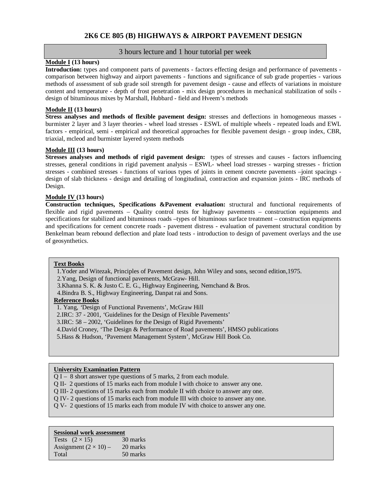# **2K6 CE 805 (B) HIGHWAYS & AIRPORT PAVEMENT DESIGN**

# 3 hours lecture and 1 hour tutorial per week

# **Module I (13 hours)**

**Introduction:** types and component parts of pavements - factors effecting design and performance of pavements comparison between highway and airport pavements - functions and significance of sub grade properties - various methods of assessment of sub grade soil strength for pavement design - cause and effects of variations in moisture content and temperature - depth of frost penetration - mix design procedures in mechanical stabilization of soils design of bituminous mixes by Marshall, Hubbard - field and Hveem's methods

# **Module II (13 hours)**

**Stress analyses and methods of flexible pavement design:** stresses and deflections in homogeneous masses burmister 2 layer and 3 layer theories - wheel load stresses - ESWL of multiple wheels - repeated loads and EWL factors - empirical, semi - empirical and theoretical approaches for flexible pavement design - group index, CBR, triaxial, mcleod and burmister layered system methods

# **Module III (13 hours)**

**Stresses analyses and methods of rigid pavement design:** types of stresses and causes - factors influencing stresses, general conditions in rigid pavement analysis – ESWL- wheel load stresses - warping stresses - friction stresses - combined stresses - functions of various types of joints in cement concrete pavements –joint spacings design of slab thickness - design and detailing of longitudinal, contraction and expansion joints - IRC methods of Design.

# **Module IV (13 hours)**

**Construction techniques, Specifications &Pavement evaluation:** structural and functional requirements of flexible and rigid pavements – Quality control tests for highway pavements – construction equipments and specifications for stabilized and bituminous roads –types of bituminous surface treatment – construction equipments and specifications for cement concrete roads - pavement distress - evaluation of pavement structural condition by Benkelman beam rebound deflection and plate load tests - introduction to design of pavement overlays and the use of geosynthetics.

# **Text Books**

1.Yoder and Witezak, Principles of Pavement design, John Wiley and sons, second edition,1975.

2.Yang, Design of functional pavements, McGraw- Hill.

3.Khanna S. K. & Justo C. E. G., Highway Engineering, Nemchand & Bros.

4.Bindra B. S., Highway Engineering, Danpat rai and Sons.

# **Reference Books**

1. Yang, *'*Design of Functional Pavements', McGraw Hill

2.IRC: 37 - 2001, *'*Guidelines for the Design of Flexible Pavements'

3.IRC: 58 – 2002, 'Guidelines for the Design of Rigid Pavements'

4.David Croney, 'The Design & Performance of Road pavements', HMSO publications

5.Hass & Hudson, 'Pavement Management System', McGraw Hill Book Co.

# **University Examination Pattern**

Q I – 8 short answer type questions of 5 marks, 2 from each module.

- Q II- 2 questions of 15 marks each from module I with choice to answer any one.
- Q III- 2 questions of 15 marks each from module II with choice to answer any one.
- Q IV- 2 questions of 15 marks each from module III with choice to answer any one.
- Q V- 2 questions of 15 marks each from module IV with choice to answer any one.

### **Sessional work assessment**

Tests  $(2 \times 15)$  30 marks Assignment  $(2 \times 10)$  – 20 marks Total 50 marks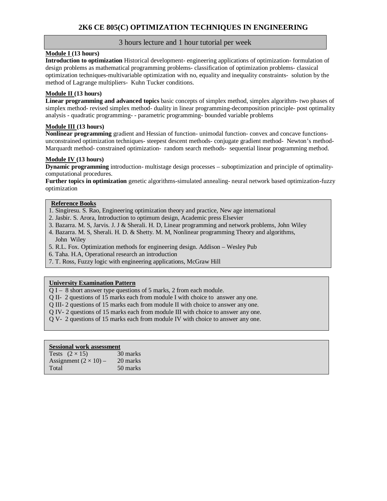# **Module I (13 hours)**

**Introduction to optimization** Historical development- engineering applications of optimization- formulation of design problems as mathematical programming problems- classification of optimization problems- classical optimization techniques-multivariable optimization with no, equality and inequality constraints- solution by the method of Lagrange multipliers- Kuhn Tucker conditions.

# **Module II (13 hours)**

**Linear programming and advanced topics** basic concepts of simplex method, simplex algorithm- two phases of simplex method- revised simplex method- duality in linear programming-decomposition principle- post optimality analysis - quadratic programming- - parametric programming- bounded variable problems

# **Module III (13 hours)**

**Nonlinear programming** gradient and Hessian of function- unimodal function- convex and concave functionsunconstrained optimization techniques- steepest descent methods- conjugate gradient method- Newton's method-Marquardt method- constrained optimization- random search methods- sequential linear programming method.

# **Module IV (13 hours)**

**Dynamic programming** introduction- multistage design processes – suboptimization and principle of optimalitycomputational procedures.

**Further topics in optimization** genetic algorithms-simulated annealing- neural network based optimization-fuzzy optimization

# **Reference Books**

- 1. Singiresu. S. Rao, Engineering optimization theory and practice, New age international
- 2. Jasbir. S. Arora, Introduction to optimum design, Academic press Elsevier
- 3. Bazarra. M. S, Jarvis. J. J & Sherali. H. D, Linear programming and network problems, John Wiley
- 4. Bazarra. M. S, Sherali. H. D. & Shetty. M. M, Nonlinear programming Theory and algorithms, John Wiley
- 5. R.L. Fox. Optimization methods for engineering design. Addison Wesley Pub
- 6. Taha. H.A, Operational research an introduction
- 7. T. Ross, Fuzzy logic with engineering applications, McGraw Hill

# **University Examination Pattern**

 $\overline{Q I - 8}$  short answer type questions of 5 marks, 2 from each module.

- Q II- 2 questions of 15 marks each from module I with choice to answer any one.
- Q III- 2 questions of 15 marks each from module II with choice to answer any one.
- Q IV- 2 questions of 15 marks each from module III with choice to answer any one.
- Q V- 2 questions of 15 marks each from module IV with choice to answer any one.

| Tests $(2 \times 15)$        | 30 marks |
|------------------------------|----------|
| Assignment $(2 \times 10)$ – | 20 marks |
| Total                        | 50 marks |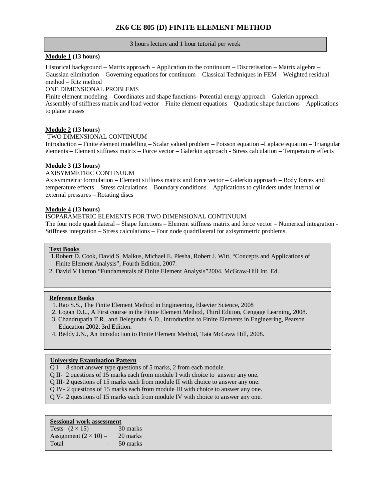# **2K6 CE 805 (D) FINITE ELEMENT METHOD**

### 3 hours lecture and 1 hour tutorial per week

# **Module 1 (13 hours)**

Historical background – Matrix approach – Application to the continuum – Discretisation – Matrix algebra – Gaussian elimination – Governing equations for continuum – Classical Techniques in FEM – Weighted residual method – Ritz method

### ONE DIMENSIONAL PROBLEMS

Finite element modeling – Coordinates and shape functions- Potential energy approach – Galerkin approach – Assembly of stiffness matrix and load vector – Finite element equations – Quadratic shape functions – Applications to plane trusses

# **Module 2 (13 hours)**

# TWO DIMENSIONAL CONTINUUM

Introduction – Finite element modelling – Scalar valued problem – Poisson equation –Laplace equation – Triangular elements – Element stiffness matrix – Force vector – Galerkin approach - Stress calculation – Temperature effects

# **Module 3 (13 hours)**

# AXISYMMETRIC CONTINUUM

Axisymmetric formulation – Element stiffness matrix and force vector – Galerkin approach – Body forces and temperature effects – Stress calculations – Boundary conditions – Applications to cylinders under internal or external pressures – Rotating discs

# **Module 4 (13 hours)**

# ISOPARAMETRIC ELEMENTS FOR TWO DIMENSIONAL CONTINUUM

The four node quadrilateral – Shape functions – Element stiffness matrix and force vector – Numerical integration - Stiffness integration – Stress calculations – Four node quadrilateral for axisymmetric problems.

### **Text Books**

- 1.Robert D. Cook, David S. Malkus, Michael E. Plesha, Robert J. Witt, "Concepts and Applications of Finite Element Analysis", Fourth Edition, 2007.
- 2. David V Hutton "Fundamentals of Finite Element Analysis"2004. McGraw-Hill Int. Ed.

# **Reference Books**

- 1. Rao S.S., The Finite Element Method in Engineering, Elsevier Science, 2008
- 2. Logan D.L., A First course in the Finite Element Method, Third Edition, Cengage Learning, 2008.
- 3. Chandrupatla T.R., and Belegundu A.D., Introduction to Finite Elements in Engineering, Pearson Education 2002, 3rd Edition.
- 4. Reddy J.N., An Introduction to Finite Element Method, Tata McGraw Hill, 2008.

### **University Examination Pattern**

- Q I 8 short answer type questions of 5 marks, 2 from each module.
- Q II- 2 questions of 15 marks each from module I with choice to answer any one.
- Q III- 2 questions of 15 marks each from module II with choice to answer any one.
- Q IV- 2 questions of 15 marks each from module III with choice to answer any one.
- Q V- 2 questions of 15 marks each from module IV with choice to answer any one.

| Tests $(2 \times 15)$        | - | 30 marks |
|------------------------------|---|----------|
| Assignment $(2 \times 10)$ – |   | 20 marks |
| Total                        |   | 50 marks |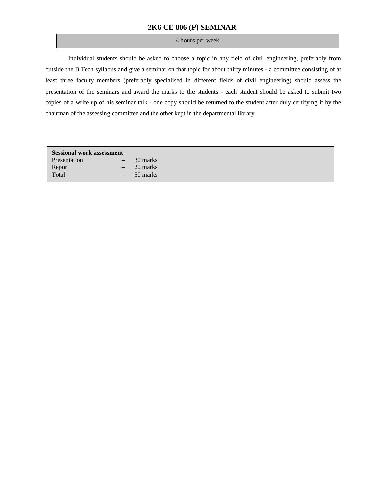# **2K6 CE 806 (P) SEMINAR**

# 4 hours per week

Individual students should be asked to choose a topic in any field of civil engineering, preferably from outside the B.Tech syllabus and give a seminar on that topic for about thirty minutes - a committee consisting of at least three faculty members (preferably specialised in different fields of civil engineering) should assess the presentation of the seminars and award the marks to the students - each student should be asked to submit two copies of a write up of his seminar talk - one copy should be returned to the student after duly certifying it by the chairman of the assessing committee and the other kept in the departmental library.

| <b>Sessional work assessment</b> |                                 |          |
|----------------------------------|---------------------------------|----------|
| Presentation                     | $\qquad \qquad -$               | 30 marks |
| Report                           | $\hspace{0.1mm}-\hspace{0.1mm}$ | 20 marks |
| Total                            | $\overline{\phantom{m}}$        | 50 marks |
|                                  |                                 |          |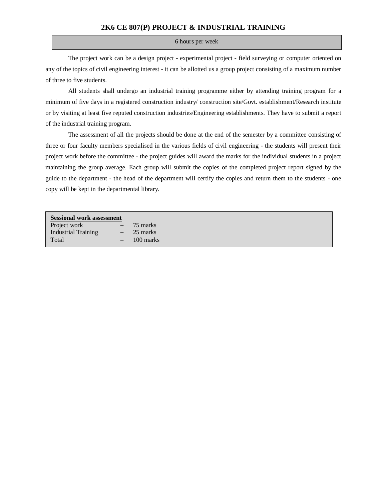# **2K6 CE 807(P) PROJECT & INDUSTRIAL TRAINING**

### 6 hours per week

The project work can be a design project - experimental project - field surveying or computer oriented on any of the topics of civil engineering interest - it can be allotted us a group project consisting of a maximum number of three to five students.

All students shall undergo an industrial training programme either by attending training program for a minimum of five days in a registered construction industry/ construction site/Govt. establishment/Research institute or by visiting at least five reputed construction industries/Engineering establishments. They have to submit a report of the industrial training program.

The assessment of all the projects should be done at the end of the semester by a committee consisting of three or four faculty members specialised in the various fields of civil engineering - the students will present their project work before the committee - the project guides will award the marks for the individual students in a project maintaining the group average. Each group will submit the copies of the completed project report signed by the guide to the department - the head of the department will certify the copies and return them to the students - one copy will be kept in the departmental library.

| <b>Sessional work assessment</b> |                          |           |  |
|----------------------------------|--------------------------|-----------|--|
| Project work                     | $\overline{\phantom{m}}$ | 75 marks  |  |
| <b>Industrial Training</b>       | $\overline{\phantom{m}}$ | 25 marks  |  |
| Total                            |                          | 100 marks |  |
|                                  |                          |           |  |